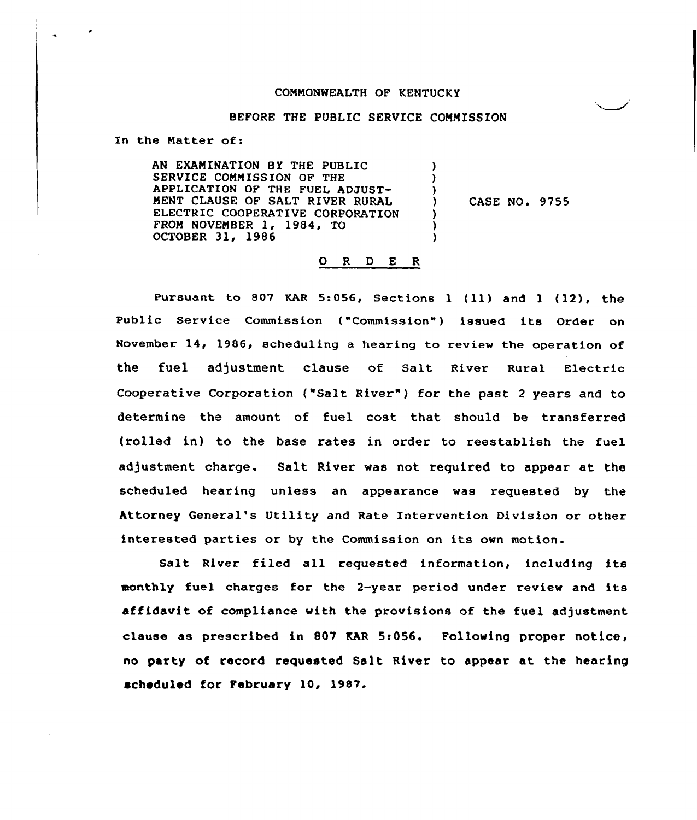## COMMONWEALTH OF KENTUCKY

# BEFORE THE PUBLIC SERVICE COMMISSION

In the Matter of:

AN EXAMINATION BY THE PUBLIC SERVICE COMMISSION QF THE APPLICATION OF THE FUEL ADJUST-MENT CLAUSE OF SALT RIVER RURAL ELECTRIC COOPERATIVE CORPORATION FROM NOVEMBER  $1, 1984, 0$ OCTOBER 31, 1986 )  $\lambda$ )<br>) CASE NO. 9755 ) ) )

## 0 <sup>R</sup> <sup>D</sup> E <sup>R</sup>

Pursuant to 807 KAR 5:056, Sections 1 (11) and 1 (12), the Public Service Commission ("Commission") issued its Order on November 14, 1986, scheduling a hearing to review the operation of the fuel adjustment clause of Salt River Rural Electric Cooperative Corporation {"Salt River" ) for the past <sup>2</sup> years and to determine the amount of fuel cost that should be transferred (rolled in) to the base rates in order to reestablish the tuel adjustment charge. Salt River was not required to appear at the scheduled hearing unless an appearance was requested by the Attorney General's Utility and Rate Intervention Division or other interested parties or by the Commission on its own motion.

Salt River filed all requested information, including its monthly fuel charges for the 2-year period under review and its affidavit of compliance with the provisions of the fuel adjustment clause as prescribed in 807 EAR 5:056. Following proper notice, no party of record requested Salt River to appear at the hearing scheduled for February 10, 1987.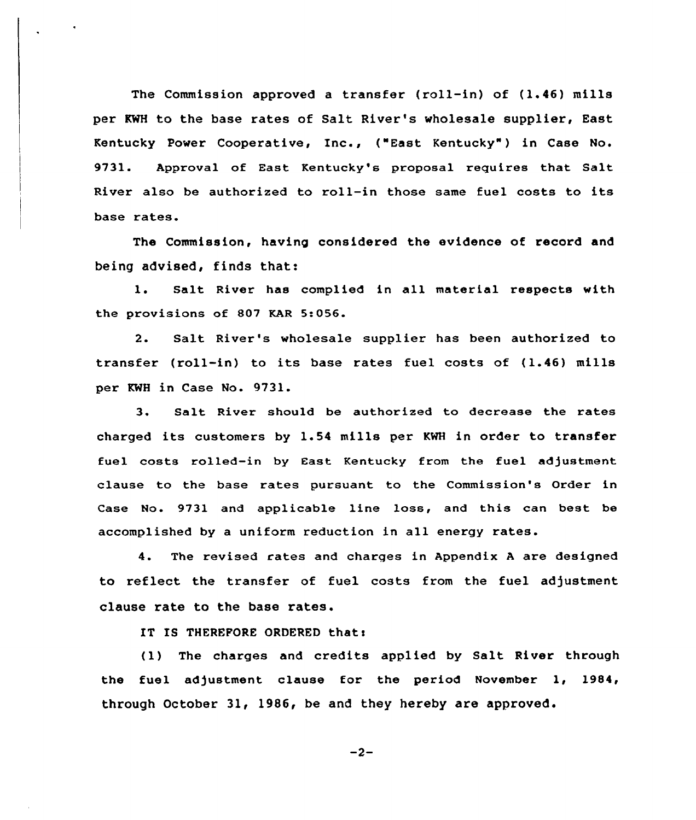The Commission approved a transfer (roll-in) of (1.46) mills per KWH to the base rates of Salt River's wholesale supplier, East Kentucky Power Cooperative, Inc., ("East Kentucky" ) in Case No. 9731. Approval of East Kentucky's proposal requires that Salt River also be authorized to roll-in those same fuel costs to its base rates.

The Commission, having considered the evidence of record and being advised, finds that:

1. Salt River has complied in all material respects with the provisions of 807 KAR 5:056.

2. Salt River's wholesale supplier has been authorized to transfer (roll-in) to its base rates fuel costs of (1.46) mills per KWH in Case No. 9731.

3 Salt River should be authorized to decrease the rates charged its customers by 1.54 mills per KWH in order to transfer fuel costs rolled-in by East Kentucky from the fuel adjustment clause to the base rates pursuant to the Commission's Order in Case No. 9731 and applicable line loss, and this can best be accomplished by a uniform reduction in all energy rates.

4. The revised rates and charges in Appendix <sup>A</sup> are designed to reflect the transfer of fuel costs from the fuel adjustment clause rate to the base rates.

IT IS THEREFORE ORDERED that:

(1) The charges and credits applied by Salt River through the fuel adjustment clause for the period November 1, 1984, through October 31, 1986, be and they hereby are approved.

$$
-2-
$$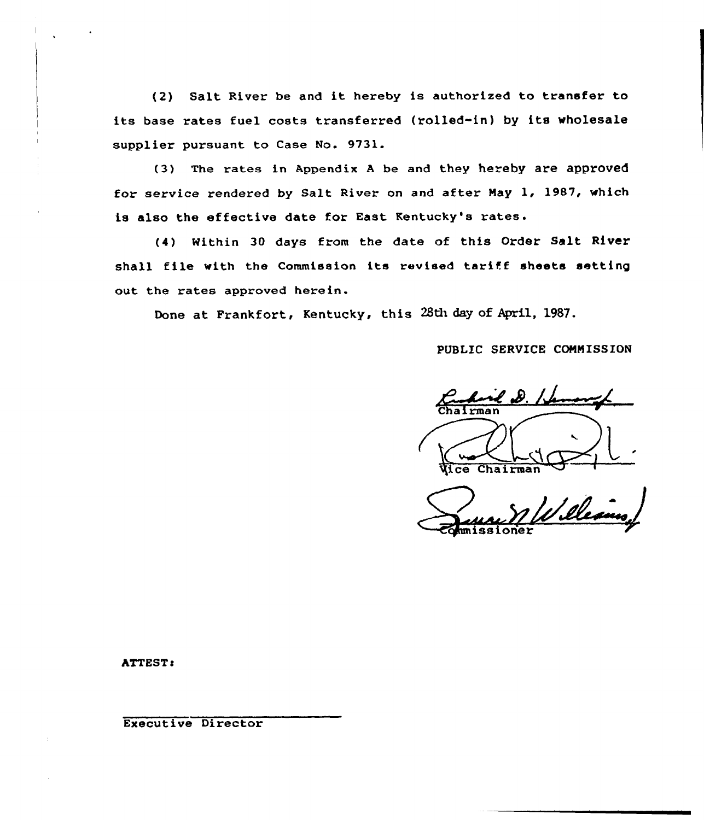(2) Salt River be and it hereby is authorized to transfer to its base rates fuel costs transferred (rolled-in) by its wholesale supplier pursuant to Case No. 9731.

(3) The rates in Appendix <sup>A</sup> be and they hereby are approved for service rendered by Salt River on and after Nay 1, 1987, which is also the effective date for East Kentucky's rates.

(4) Within 30 days from the date of this Order Salt River shall file with the Commission its revised tariff sheets setting out the rates approved herein.

Done at Frankfort, Kentucky, this 28th day of April, 1987.

PUBLIC SERVICE COMMISSION

Control 2.11 **Chairma**  $C$ hairman $T$ 

'illes G<sub>rum</sub>issioner

ATTEST:

Executive Director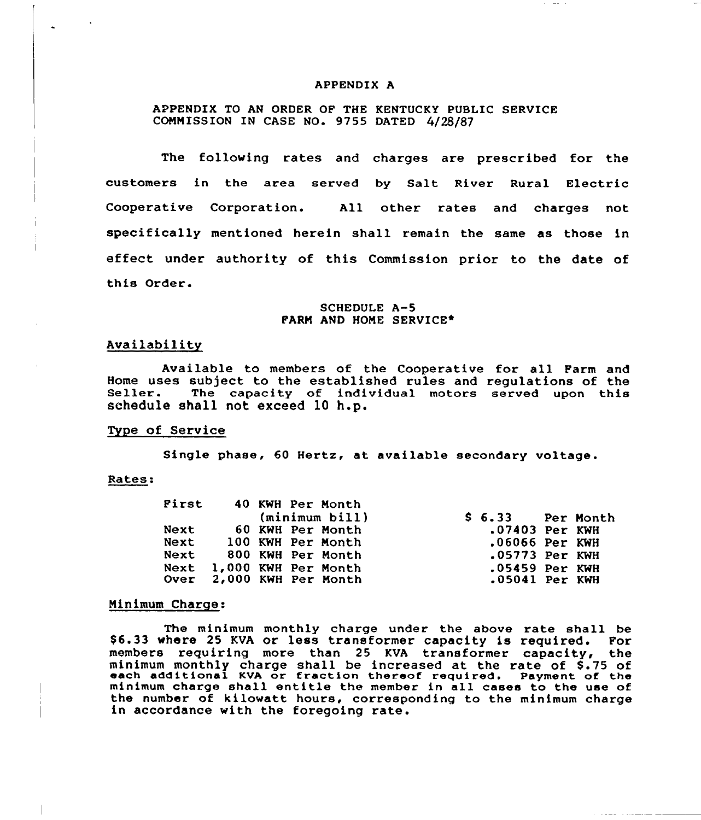#### APPENDIX A

# APPENDIX TO AN ORDER OF THE KENTUCKY PUBLIC SERVICE COMMISSION IN CASE NO. 9755 DATED 4/28/87

The following rates and charges are prescribed for the customers in the area served by Salt River Rural Electric Cooperative Corporation. All other rates and charges not specifically mentioned herein shall remain the same as those in effect under authority of this Commission prior to the date of this Order.

## SCHEDULE A-5 FARM AND HOME SERVICE\*

#### Availability

Available to members of the Cooperative for all Farm and Home uses subject to the established rules and regulations of the<br>Seller. The capacity of individual motors served upon this schedule shall not exceed 10 h.p.

#### Type of Service

Single phase, 60 Hertz, at available secondary voltage.

#### Rates

|  | First 40 KWH Per Month<br>(minimum bill) | $$6.33$ Per Month |                  |
|--|------------------------------------------|-------------------|------------------|
|  | Next 60 KWH Per Month                    |                   | .07403 Per KWH   |
|  | Next 100 KWH Per Month                   |                   | .06066 Per KWH   |
|  | Next 800 KWH Per Month                   |                   | $.05773$ Per KWH |
|  | Next 1,000 KWH Per Month                 |                   | $.05459$ Per KWH |
|  | Over 2,000 KWH Per Month                 |                   | $.05041$ Per KWH |

## Minimum Charge:

The minimum monthly charge under the above rate shall be \$ 6.33 where 25 KVA or less transformer capacity is required. For members requiring more than 25 KVA transformer capacity, the minimum monthly charge shall be increased at the rate of \$ .75 of each additional KVA or fraction thereof required. Payment of the minimum charge shall entitle the member in all cases to the use of the number of kilowatt hours, corresponding to the minimum charge in accordance with the foregoing rate.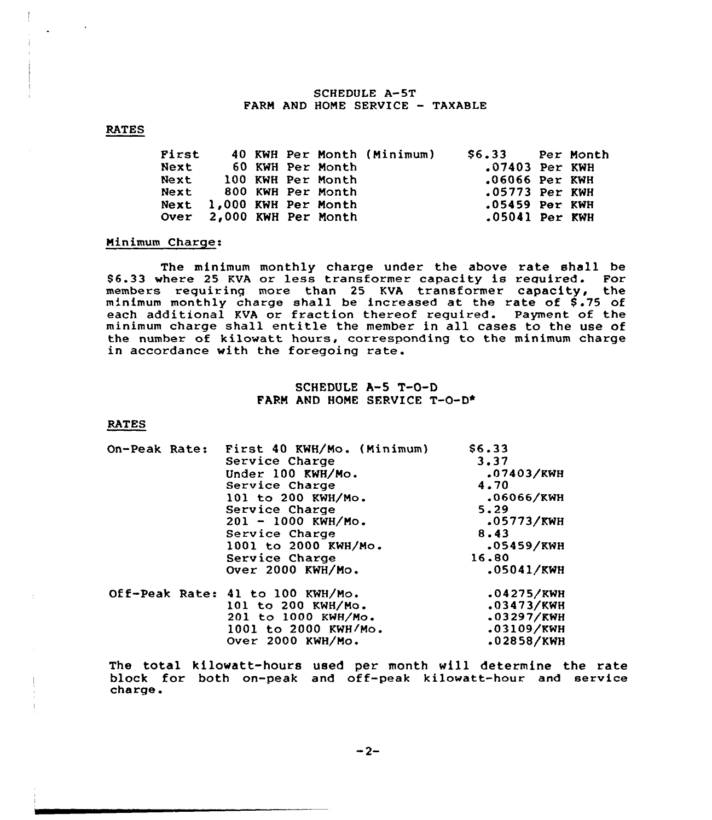## SCHEDULE A-5T FARM AND HONE SERVICE — TAXABLE

## RATES

| First |  |                          | 40 KWH Per Month (Minimum) | \$6.33 Per Month |  |
|-------|--|--------------------------|----------------------------|------------------|--|
| Next  |  | 60 KWH Per Month         |                            | $.07403$ Per KWH |  |
|       |  | Next 100 KWH Per Month   |                            | $.06066$ Per KWH |  |
|       |  | Next 800 KWH Per Month   |                            | .05773 Per KWH   |  |
|       |  | Next 1,000 KWH Per Month |                            | .05459 Per KWH   |  |
|       |  | Over 2,000 KWH Per Month |                            | .05041 Per KWH   |  |

#### Ninimum Charge:

The minimum monthly charge under the above rate shall be \$ 6.33 where 25 KVA or less transformer capacity is required. For members requiring more than 25 KVA transformer capacity, the members regularing more than 25 KW. crainsformer capacity, the each additional KVA or fraction thereof required. Payment of the minimum charge shall entitle the member in all cases to the use of the number of kilowatt hours, corresponding to the minimum charge in accordance with the foregoing rate.

# SCHEDULE A-5 T-0-D FARM AND HOME SERVICE T-O-D\*

#### RATES

| On-Peak Rate: | First 40 KWH/Mo. (Minimum)<br>Service Charge<br>Under 100 KWH/Mo.<br>Service Charge<br>101 to 200 KWH/Mo.<br>Service Charge<br>$201 - 1000$ KWH/Mo.<br>Service Charge<br>1001 to 2000 KWH/Mo.<br>Service Charge<br>Over $2000$ KWH/Mo. | \$6.33<br>3.37<br>.07403/KWH<br>4.70<br>.06066/KWH<br>5.29<br>.05773/KWH<br>8.43<br>.05459/KWH<br>16.80<br>.05041/KWH |
|---------------|----------------------------------------------------------------------------------------------------------------------------------------------------------------------------------------------------------------------------------------|-----------------------------------------------------------------------------------------------------------------------|
|               | Off-Peak Rate: 41 to 100 KWH/Mo.<br>101 to 200 KWH/Mo.<br>201 to 1000 KWH/Mo.<br>1001 to 2000 KWH/Mo.<br>Over 2000 KWH/Mo.                                                                                                             | .04275/KWH<br>.03473/KWH<br>.03297/KWH<br>.03109/KWH<br>.02858/KWH                                                    |

The total kilowatt-hours used per month will determine the rate block for both on-peak and off-peak kilowatt-hour and service charge.

 $-2-$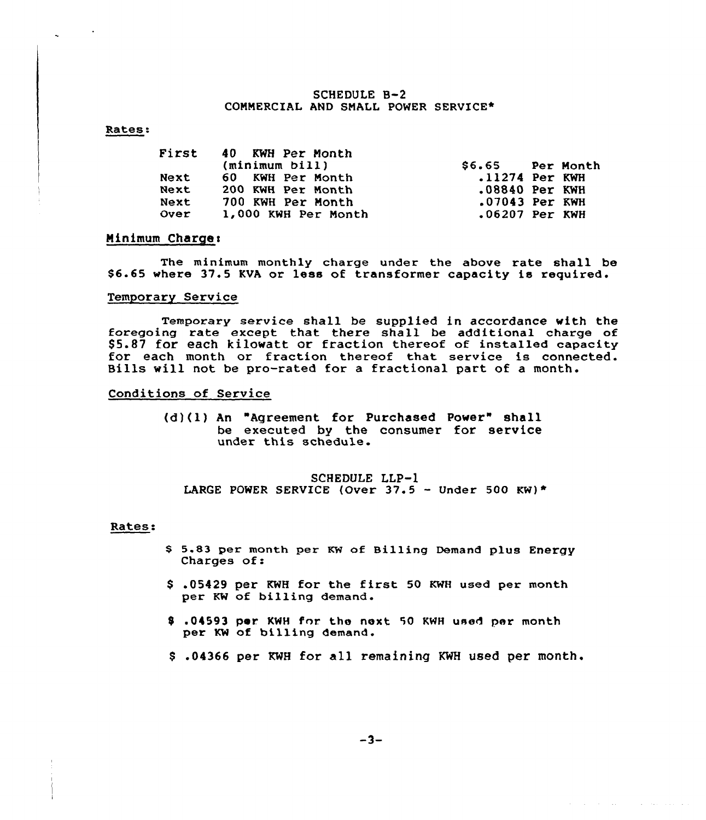## SCHEDULE 8-2 COMMERCIAL AND SMALL POWER SERVICE\*

## Rates:

|             | First 40 KWH Per Month<br>(minimum bill) | \$6.65 Per Month |  |
|-------------|------------------------------------------|------------------|--|
| <b>Next</b> | 60 KWH Per Month                         | .11274 Per KWH   |  |
| Next        | 200 KWH Per Month                        | .08840 Per KWH   |  |
| Next        | 700 KWH Per Month                        | .07043 Per KWH   |  |
| Over        | 1,000 KWH Per Month                      | $.06207$ Per KWH |  |

## Minimum Charges

The minimum monthly charge under the above rate shall be \$ 6.65 where 37.5 KVA or less of transformer capacity is required.

## Temporary Service

Temporary service shall be supplied in accordance with the foregoing rate except that there shall be additional charge of \$5.87 for each kilowatt or fraction thereof of installed capacity for each month or fraction thereof that service is connected. Bills will not be pro-rated for <sup>a</sup> fractional part of <sup>a</sup> month.

# Conditions of Service

(d)(l) An "Agreement for Purchased Power" shall be executed by the consumer for service under this schedule.

## SCHEDULE LLP-1 LARGE POWER SERVICE (Over 37.5 - Under 500 KW)\*

#### Rates:

- <sup>S</sup> 5.83 per month per KW of Billing Demand plus Energy Charges of:
- \$ .05429 per KWH for the first <sup>50</sup> KWH used per month per KW of billing demand.
- \$ .01593 por KWH for. the next 50 KWH used per month per KW of billing demand.
- \$ .04366 per KWH for all remaining KWH used per month.

 $\alpha$  , and  $\alpha$  , and  $\alpha$  , and  $\alpha$  , and  $\alpha$  , and  $\alpha$  , and  $\alpha$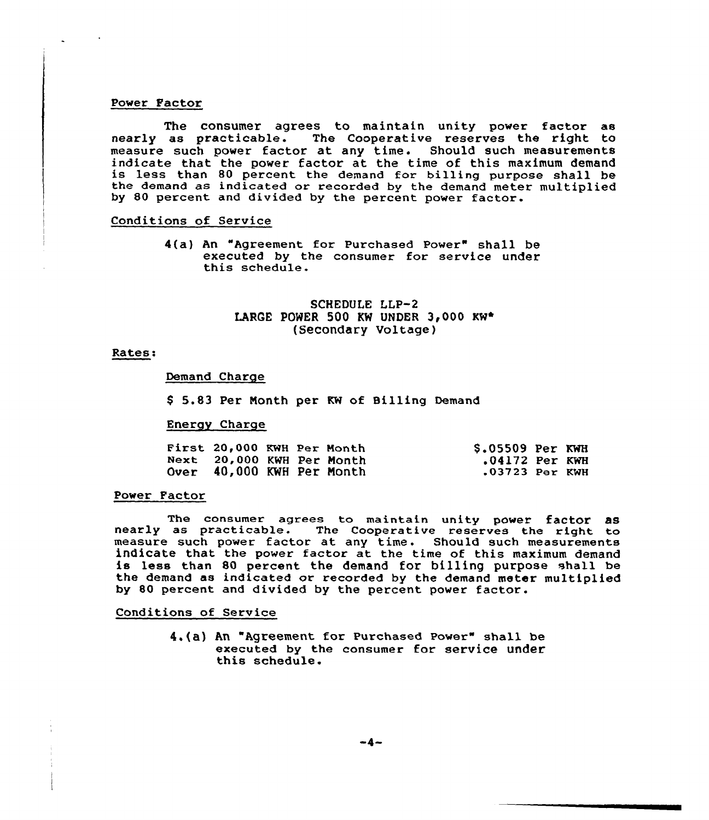#### Power Factor

The consumer agrees to maintain unity power factor as nearly as practicable. The Cooperative reserves the right to measure such power factor at any time. Should such measurements<br>indicate that the power factor at the time of this maximum demand is less than 80 percent the demand for billing purpose shall be the demand as indicated or recorded by the demand meter multiplied by 80 percent and divided by the percent power factor.

# Conditions of Service

4(a) An "Agreement for Purchased Power" shall be executed by the consumer for service under<br>this schedule.

# SCHEDULE LLP-2 LARGE POWER 500 KW UNDER  $3,000$  KW\* (Secondary Voltage)

### Rates:

#### Demand Charge

5.83 Per Nonth per KW of Billing Demand

## Energy Charge

| First 20,000 KWH Per Month |  | $$.05509$ Per KWH |  |
|----------------------------|--|-------------------|--|
| Next 20,000 KWH Per Month  |  | .04172 Per KWH    |  |
| Over 40,000 KWH Per Month  |  | .03723 Per KWH    |  |

#### Power Pactor

The consumer agrees to maintain unity power factor as<br>nearly as practicable. The Cooperative reserves the right to measure such power factor at any time. Should such measurement indicate that the power factor at the time of this maximum demand is less than <sup>80</sup> percent the demand for billing purpose shall be the demand as indicated or recorded by the demand meter multiplied by 80 percent and divided by the percent power factor.

Conditions of Service

4.(a) An "Agreement for Purchased Power" shall be executed by the consumer for service under this schedule.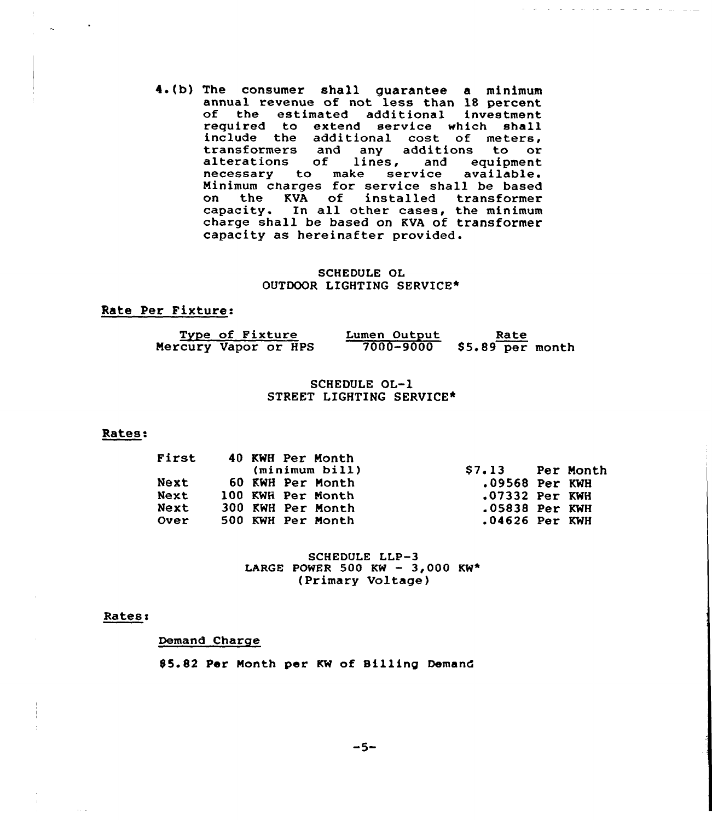4.(b) The consumer shall guarantee a minimum<br>annual revenue of not less than 18 percent annual revenue of not less than 18 percent of the estimated additional investment required to extend service which shall include the additional cost of meters transformers and any additions to or alterations of lines, and equipment necessary to make service available. Minimum charges for service shall be based<br>on the KVA of installed transformer the KVA of installed transformer capacity. In all other cases, the minimum charge shall be based on KVA of transformer capacity as hereinafter provided.

سودي الموالي التواريب التواريد الموالية المواردة والمواردة

## SCHEDULE OL OUTDOOR LIGHTING SERVICE\*

# Rate Per Fixture:

| Type of Fixture      | Lumen Output  | Rate              |
|----------------------|---------------|-------------------|
| Mercury Vapor or HPS | $7000 - 9000$ | $$5.89$ per month |

# SCHEDULE OL-1 STREET LIGHTING SERVICE\*

#### Rates:

| First       | 40 KWH Per Month<br>(minimum bill) | \$7.13 Per Month |  |
|-------------|------------------------------------|------------------|--|
| Next        | 60 KWH Per Month                   | $.09568$ Per KWH |  |
| Next        | 100 KWH Per Month                  | .07332 Per KWH   |  |
| Next        | 300 KWH Per Month                  | .05838 Per KWH   |  |
| <b>Over</b> | 500 KWH Per Month                  | $.04626$ Per KWH |  |

SCHEDULE LLP-3 LARGE POWER 500 KW - 3,000 KW\* (Primary Voltage)

#### Rates:

Demand Charge

85.82 Per Month per KW of Billing Demand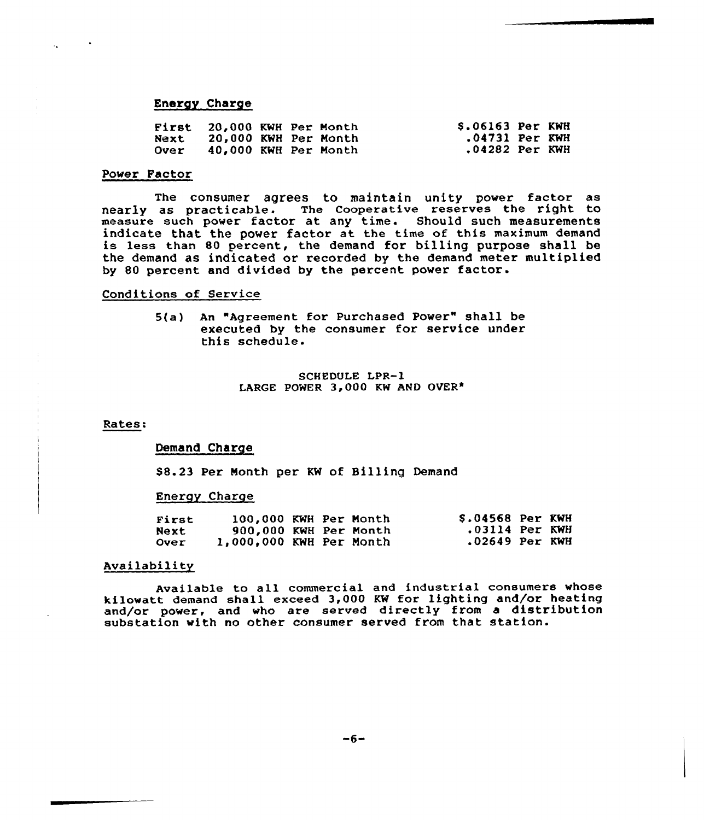## Energy Charge

| First       | <b>20,000 KWH Per Month</b> |  | <b>S.06163 Per KWH</b> |  |
|-------------|-----------------------------|--|------------------------|--|
| Next        | 20,000 KWH Per Month        |  | .04731 Per KWH         |  |
| <b>Over</b> | 40.000 KWH Per Month        |  | .04282 Per KWH         |  |

## Power Factor

The consumer agrees to maintain unity power factor as nearly as practicable. The Cooperative reserves the right to measure such power factor at any time. Should such measurements indicate that the power factor at the time of this maximum demand is less than 80 percent, the demand for billing purpose shall be the demand as indicated or recorded by the demand meter multiplied by 80 percent and divided by the percent power factor-

## Conditions of Service

5(a} An "Agreement for Purchased Power" shall be executed by the consumer for service under this schedule.

> $SCH$  EDULE LPR-1 LARGE POWER 3,000 KW AND OVER\*

#### Rates:

# Demand Charge

88.23 Per Month per KW of Billing Demand

#### Energy Charge

| First       | 100,000 KWH Per Month     |  | <b>S.04568 Per KWH</b> |  |
|-------------|---------------------------|--|------------------------|--|
| Next        | 900,000 KWH Per Month     |  | $.03114$ Per KWH       |  |
| <b>Over</b> | $1,000,000$ KWH Per Month |  | .02649 Per KWH         |  |

# Availability

Available to all commercial and industrial consumers whose kilowatt demand shall exceed 3,000 KW for lighting and/or heating and/or power, and who are served directly from a distribution substation with no other consumer served from that station.